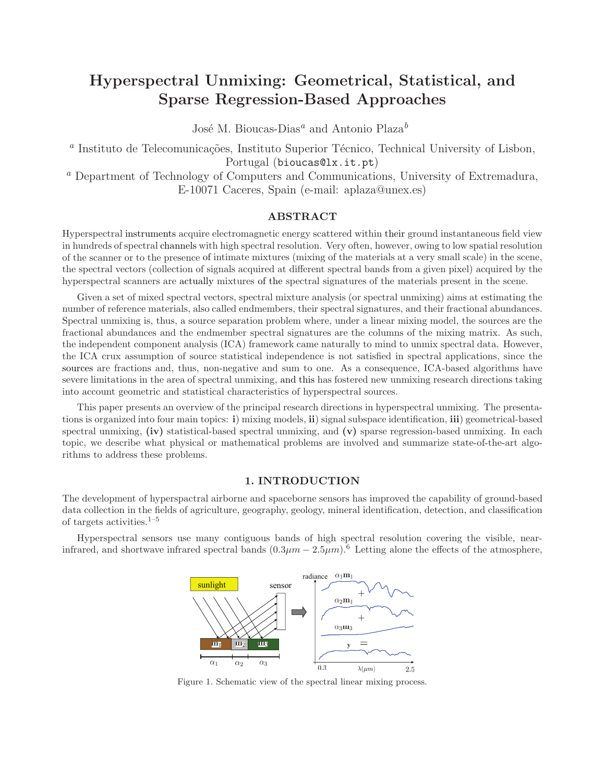# Hyperspectral Unmixing: Geometrical, Statistical, and Sparse Regression-Based Approaches

José M. Bioucas-Dias<sup>a</sup> and Antonio Plaza<sup>b</sup>

<sup>a</sup> Instituto de Telecomunicações, Instituto Superior Técnico, Technical University of Lisbon, Portugal (bioucas@lx.it.pt)

<sup>a</sup> Department of Technology of Computers and Communications, University of Extremadura, E-10071 Caceres, Spain (e-mail: aplaza@unex.es)

# ABSTRACT

Hyperspectral instruments acquire electromagnetic energy scattered within their ground instantaneous field view in hundreds of spectral channels with high spectral resolution. Very often, however, owing to low spatial resolution of the scanner or to the presence of intimate mixtures (mixing of the materials at a very small scale) in the scene, the spectral vectors (collection of signals acquired at different spectral bands from a given pixel) acquired by the hyperspectral scanners are actually mixtures of the spectral signatures of the materials present in the scene.

Given a set of mixed spectral vectors, spectral mixture analysis (or spectral unmixing) aims at estimating the number of reference materials, also called endmembers, their spectral signatures, and their fractional abundances. Spectral unmixing is, thus, a source separation problem where, under a linear mixing model, the sources are the fractional abundances and the endmember spectral signatures are the columns of the mixing matrix. As such, the independent component analysis (ICA) framework came naturally to mind to unmix spectral data. However, the ICA crux assumption of source statistical independence is not satisfied in spectral applications, since the sources are fractions and, thus, non-negative and sum to one. As a consequence, ICA-based algorithms have severe limitations in the area of spectral unmixing, and this has fostered new unmixing research directions taking into account geometric and statistical characteristics of hyperspectral sources.

This paper presents an overview of the principal research directions in hyperspectral unmixing. The presentations is organized into four main topics: i) mixing models, ii) signal subspace identification, iii) geometrical-based spectral unmixing,  $(iv)$  statistical-based spectral unmixing, and  $(v)$  sparse regression-based unmixing. In each topic, we describe what physical or mathematical problems are involved and summarize state-of-the-art algorithms to address these problems.

#### 1. INTRODUCTION

The development of hyperspactral airborne and spaceborne sensors has improved the capability of ground-based data collection in the fields of agriculture, geography, geology, mineral identification, detection, and classification of targets activities.1–5

Hyperspectral sensors use many contiguous bands of high spectral resolution covering the visible, nearinfrared, and shortwave infrared spectral bands  $(0.3\mu m - 2.5\mu m)$ .<sup>6</sup> Letting alone the effects of the atmosphere,



Figure 1. Schematic view of the spectral linear mixing process.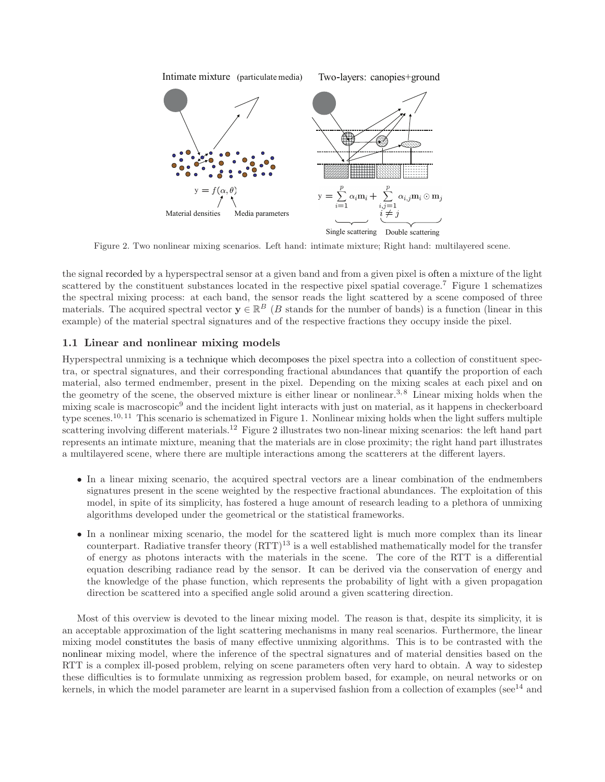

Figure 2. Two nonlinear mixing scenarios. Left hand: intimate mixture; Right hand: multilayered scene.

the signal recorded by a hyperspectral sensor at a given band and from a given pixel is often a mixture of the light scattered by the constituent substances located in the respective pixel spatial coverage.<sup>7</sup> Figure 1 schematizes the spectral mixing process: at each band, the sensor reads the light scattered by a scene composed of three materials. The acquired spectral vector  $y \in \mathbb{R}^B$  (B stands for the number of bands) is a function (linear in this example) of the material spectral signatures and of the respective fractions they occupy inside the pixel.

# 1.1 Linear and nonlinear mixing models

Hyperspectral unmixing is a technique which decomposes the pixel spectra into a collection of constituent spectra, or spectral signatures, and their corresponding fractional abundances that quantify the proportion of each material, also termed endmember, present in the pixel. Depending on the mixing scales at each pixel and on the geometry of the scene, the observed mixture is either linear or nonlinear.<sup>3,8</sup> Linear mixing holds when the mixing scale is macroscopic<sup>9</sup> and the incident light interacts with just on material, as it happens in checkerboard type scenes.<sup>10, 11</sup> This scenario is schematized in Figure 1. Nonlinear mixing holds when the light suffers multiple scattering involving different materials.<sup>12</sup> Figure 2 illustrates two non-linear mixing scenarios: the left hand part represents an intimate mixture, meaning that the materials are in close proximity; the right hand part illustrates a multilayered scene, where there are multiple interactions among the scatterers at the different layers.

- In a linear mixing scenario, the acquired spectral vectors are a linear combination of the endmembers signatures present in the scene weighted by the respective fractional abundances. The exploitation of this model, in spite of its simplicity, has fostered a huge amount of research leading to a plethora of unmixing algorithms developed under the geometrical or the statistical frameworks.
- In a nonlinear mixing scenario, the model for the scattered light is much more complex than its linear counterpart. Radiative transfer theory  $(RTT)^{13}$  is a well established mathematically model for the transfer of energy as photons interacts with the materials in the scene. The core of the RTT is a differential equation describing radiance read by the sensor. It can be derived via the conservation of energy and the knowledge of the phase function, which represents the probability of light with a given propagation direction be scattered into a specified angle solid around a given scattering direction.

Most of this overview is devoted to the linear mixing model. The reason is that, despite its simplicity, it is an acceptable approximation of the light scattering mechanisms in many real scenarios. Furthermore, the linear mixing model constitutes the basis of many effective unmixing algorithms. This is to be contrasted with the nonlinear mixing model, where the inference of the spectral signatures and of material densities based on the RTT is a complex ill-posed problem, relying on scene parameters often very hard to obtain. A way to sidestep these difficulties is to formulate unmixing as regression problem based, for example, on neural networks or on kernels, in which the model parameter are learnt in a supervised fashion from a collection of examples (see<sup>14</sup> and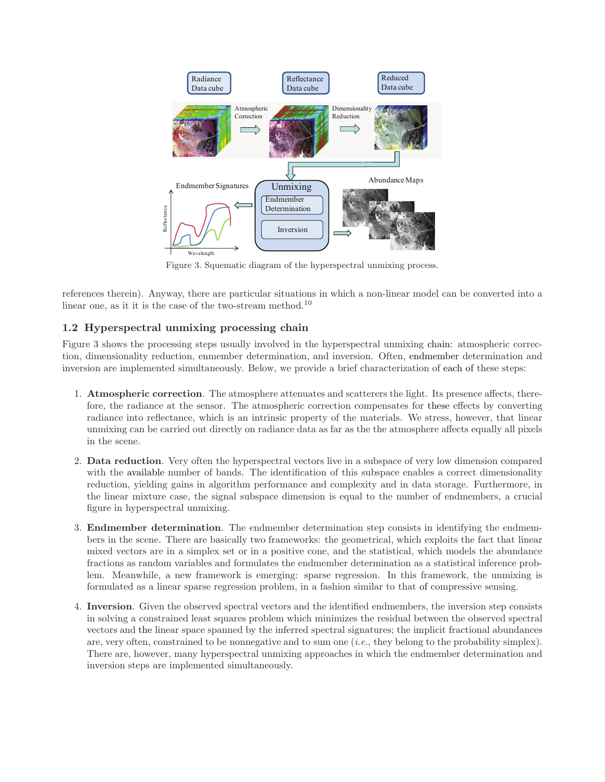

Figure 3. Squematic diagram of the hyperspectral unmixing process.

references therein). Anyway, there are particular situations in which a non-linear model can be converted into a linear one, as it it is the case of the two-stream method.<sup>10</sup>

# 1.2 Hyperspectral unmixing processing chain

Figure 3 shows the processing steps usually involved in the hyperspectral unmixing chain: atmospheric correction, dimensionality reduction, enmember determination, and inversion. Often, endmember determination and inversion are implemented simultaneously. Below, we provide a brief characterization of each of these steps:

- 1. Atmospheric correction. The atmosphere attenuates and scatterers the light. Its presence affects, therefore, the radiance at the sensor. The atmospheric correction compensates for these effects by converting radiance into reflectance, which is an intrinsic property of the materials. We stress, however, that linear unmixing can be carried out directly on radiance data as far as the the atmosphere affects equally all pixels in the scene.
- 2. Data reduction. Very often the hyperspectral vectors live in a subspace of very low dimension compared with the available number of bands. The identification of this subspace enables a correct dimensionality reduction, yielding gains in algorithm performance and complexity and in data storage. Furthermore, in the linear mixture case, the signal subspace dimension is equal to the number of endmembers, a crucial figure in hyperspectral unmixing.
- 3. Endmember determination. The endmember determination step consists in identifying the endmembers in the scene. There are basically two frameworks: the geometrical, which exploits the fact that linear mixed vectors are in a simplex set or in a positive cone, and the statistical, which models the abundance fractions as random variables and formulates the endmember determination as a statistical inference problem. Meanwhile, a new framework is emerging: sparse regression. In this framework, the unmixing is formulated as a linear sparse regression problem, in a fashion similar to that of compressive sensing.
- 4. Inversion. Given the observed spectral vectors and the identified endmembers, the inversion step consists in solving a constrained least squares problem which minimizes the residual between the observed spectral vectors and the linear space spanned by the inferred spectral signatures; the implicit fractional abundances are, very often, constrained to be nonnegative and to sum one (i.e., they belong to the probability simplex). There are, however, many hyperspectral unmixing approaches in which the endmember determination and inversion steps are implemented simultaneously.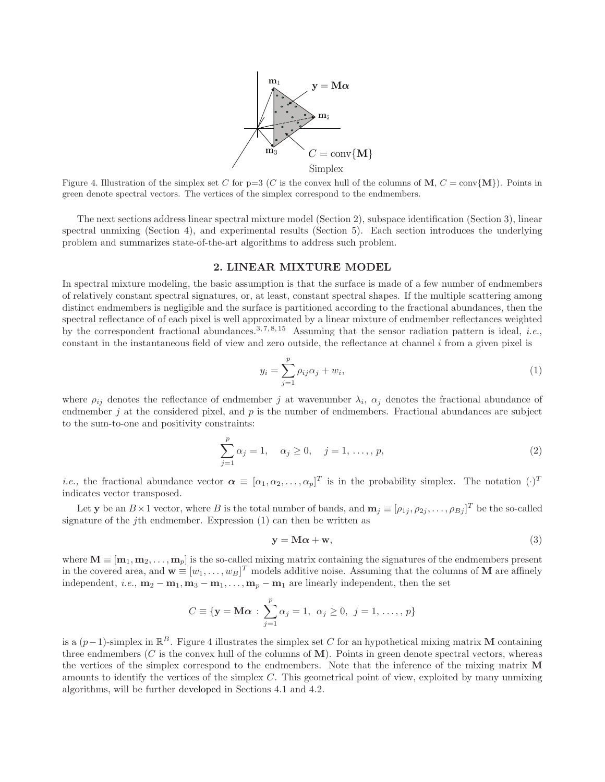

Figure 4. Illustration of the simplex set C for  $p=3$  (C is the convex hull of the columns of M,  $C = \text{conv}\{M\}$ ). Points in green denote spectral vectors. The vertices of the simplex correspond to the endmembers.

The next sections address linear spectral mixture model (Section 2), subspace identification (Section 3), linear spectral unmixing (Section 4), and experimental results (Section 5). Each section introduces the underlying problem and summarizes state-of-the-art algorithms to address such problem.

## 2. LINEAR MIXTURE MODEL

In spectral mixture modeling, the basic assumption is that the surface is made of a few number of endmembers of relatively constant spectral signatures, or, at least, constant spectral shapes. If the multiple scattering among distinct endmembers is negligible and the surface is partitioned according to the fractional abundances, then the spectral reflectance of of each pixel is well approximated by a linear mixture of endmember reflectances weighted by the correspondent fractional abundances.<sup>3, 7,8, 15</sup> Assuming that the sensor radiation pattern is ideal, *i.e.*, constant in the instantaneous field of view and zero outside, the reflectance at channel i from a given pixel is

$$
y_i = \sum_{j=1}^p \rho_{ij} \alpha_j + w_i, \qquad (1)
$$

where  $\rho_{ij}$  denotes the reflectance of endmember j at wavenumber  $\lambda_i$ ,  $\alpha_j$  denotes the fractional abundance of endmember j at the considered pixel, and  $p$  is the number of endmembers. Fractional abundances are subject to the sum-to-one and positivity constraints:

$$
\sum_{j=1}^{p} \alpha_j = 1, \quad \alpha_j \ge 0, \quad j = 1, \dots, p,
$$
\n(2)

*i.e.*, the fractional abundance vector  $\boldsymbol{\alpha} \equiv [\alpha_1, \alpha_2, \ldots, \alpha_p]^T$  is in the probability simplex. The notation  $(\cdot)^T$ indicates vector transposed.

Let **y** be an  $B \times 1$  vector, where B is the total number of bands, and  $\mathbf{m}_j \equiv [\rho_{1j}, \rho_{2j}, \dots, \rho_{Bj}]^T$  be the so-called signature of the j<sup>th</sup> endmember. Expression (1) can then be written as

$$
y = M\alpha + w,\tag{3}
$$

where  $\mathbf{M} \equiv [\mathbf{m}_1, \mathbf{m}_2, \dots, \mathbf{m}_p]$  is the so-called mixing matrix containing the signatures of the endmembers present in the covered area, and  $\mathbf{w} \equiv [w_1, \dots, w_B]^T$  models additive noise. Assuming that the columns of M are affinely independent, i.e.,  $m_2 - m_1, m_3 - m_1, \ldots, m_p - m_1$  are linearly independent, then the set

$$
C \equiv \{ \mathbf{y} = \mathbf{M}\boldsymbol{\alpha} : \sum_{j=1}^{p} \alpha_j = 1, \ \alpha_j \ge 0, \ j = 1, \dots, p \}
$$

is a  $(p-1)$ -simplex in  $\mathbb{R}^B$ . Figure 4 illustrates the simplex set C for an hypothetical mixing matrix M containing three endmembers  $(C$  is the convex hull of the columns of  $M$ ). Points in green denote spectral vectors, whereas the vertices of the simplex correspond to the endmembers. Note that the inference of the mixing matrix M amounts to identify the vertices of the simplex C. This geometrical point of view, exploited by many unmixing algorithms, will be further developed in Sections 4.1 and 4.2.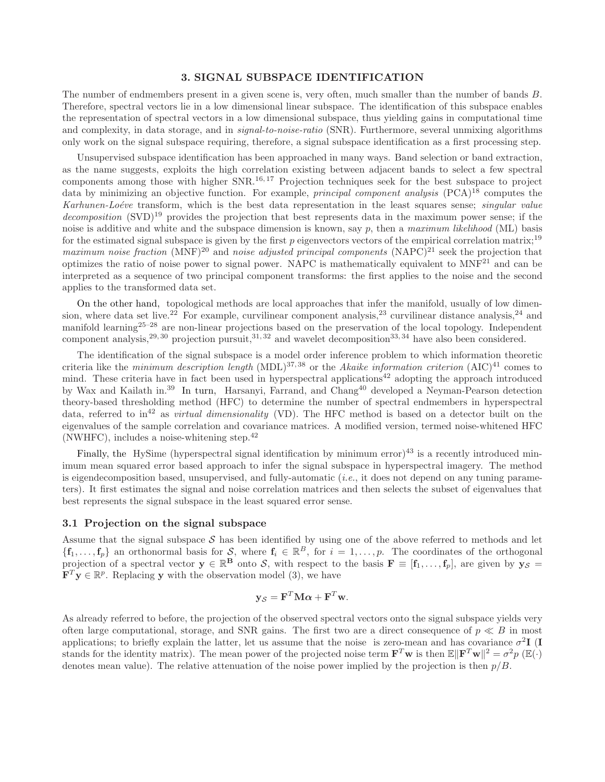#### 3. SIGNAL SUBSPACE IDENTIFICATION

The number of endmembers present in a given scene is, very often, much smaller than the number of bands B. Therefore, spectral vectors lie in a low dimensional linear subspace. The identification of this subspace enables the representation of spectral vectors in a low dimensional subspace, thus yielding gains in computational time and complexity, in data storage, and in *signal-to-noise-ratio* (SNR). Furthermore, several unmixing algorithms only work on the signal subspace requiring, therefore, a signal subspace identification as a first processing step.

Unsupervised subspace identification has been approached in many ways. Band selection or band extraction, as the name suggests, exploits the high correlation existing between adjacent bands to select a few spectral components among those with higher  $SNR$ <sup>16, 17</sup> Projection techniques seek for the best subspace to project data by minimizing an objective function. For example, *principal component analysis* (PCA)<sup>18</sup> computes the Karhunen-Loéve transform, which is the best data representation in the least squares sense; singular value decomposition  $(SVD)^{19}$  provides the projection that best represents data in the maximum power sense; if the noise is additive and white and the subspace dimension is known, say  $p$ , then a maximum likelihood (ML) basis for the estimated signal subspace is given by the first p eigenvectors vectors of the empirical correlation matrix;<sup>19</sup> maximum noise fraction  $(MNF)^{20}$  and noise adjusted principal components  $(NAPC)^{21}$  seek the projection that optimizes the ratio of noise power to signal power. NAPC is mathematically equivalent to  $MNF<sup>21</sup>$  and can be interpreted as a sequence of two principal component transforms: the first applies to the noise and the second applies to the transformed data set.

On the other hand, topological methods are local approaches that infer the manifold, usually of low dimension, where data set live.<sup>22</sup> For example, curvilinear component analysis,<sup>23</sup> curvilinear distance analysis,<sup>24</sup> and manifold learning25–28 are non-linear projections based on the preservation of the local topology. Independent component analysis,<sup>29, 30</sup> projection pursuit,<sup>31, 32</sup> and wavelet decomposition<sup>33, 34</sup> have also been considered.

The identification of the signal subspace is a model order inference problem to which information theoretic criteria like the minimum description length (MDL)<sup>37, 38</sup> or the Akaike information criterion (AIC)<sup>41</sup> comes to mind. These criteria have in fact been used in hyperspectral applications<sup>42</sup> adopting the approach introduced by Wax and Kailath in.<sup>39</sup> In turn, Harsanyi, Farrand, and Chang<sup>40</sup> developed a Neyman-Pearson detection theory-based thresholding method (HFC) to determine the number of spectral endmembers in hyperspectral data, referred to in<sup>42</sup> as *virtual dimensionality* (VD). The HFC method is based on a detector built on the eigenvalues of the sample correlation and covariance matrices. A modified version, termed noise-whitened HFC (NWHFC), includes a noise-whitening step.<sup>42</sup>

Finally, the HySime (hyperspectral signal identification by minimum error) $^{43}$  is a recently introduced minimum mean squared error based approach to infer the signal subspace in hyperspectral imagery. The method is eigendecomposition based, unsupervised, and fully-automatic  $(i.e.,$  it does not depend on any tuning parameters). It first estimates the signal and noise correlation matrices and then selects the subset of eigenvalues that best represents the signal subspace in the least squared error sense.

#### 3.1 Projection on the signal subspace

Assume that the signal subspace  $S$  has been identified by using one of the above referred to methods and let  $\{\mathbf{f}_1,\ldots,\mathbf{f}_p\}$  an orthonormal basis for S, where  $\mathbf{f}_i \in \mathbb{R}^B$ , for  $i = 1,\ldots,p$ . The coordinates of the orthogonal projection of a spectral vector  $y \in \mathbb{R}^B$  onto S, with respect to the basis  $\mathbf{F} \equiv [\mathbf{f}_1, \ldots, \mathbf{f}_p]$ , are given by  $y_S =$  $\mathbf{F}^T \mathbf{y} \in \mathbb{R}^p$ . Replacing **y** with the observation model (3), we have

$$
\mathbf{y}_{\mathcal{S}} = \mathbf{F}^T \mathbf{M} \boldsymbol{\alpha} + \mathbf{F}^T \mathbf{w}.
$$

As already referred to before, the projection of the observed spectral vectors onto the signal subspace yields very often large computational, storage, and SNR gains. The first two are a direct consequence of  $p \ll B$  in most applications; to briefly explain the latter, let us assume that the noise is zero-mean and has covariance  $\sigma^2 I$  (I stands for the identity matrix). The mean power of the projected noise term  $\mathbf{F}^T \mathbf{w}$  is then  $\mathbb{E} \|\mathbf{F}^T \mathbf{w}\|^2 = \sigma^2 p \ (\mathbb{E}(\cdot))$ denotes mean value). The relative attenuation of the noise power implied by the projection is then  $p/B$ .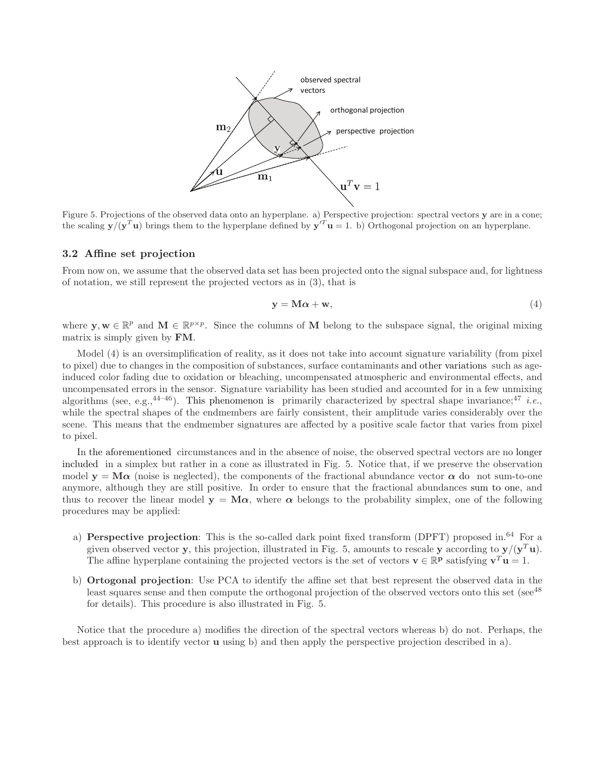

Figure 5. Projections of the observed data onto an hyperplane. a) Perspective projection: spectral vectors y are in a cone; the scaling  $y/(y^T u)$  brings them to the hyperplane defined by  $y'^T u = 1$ . b) Orthogonal projection on an hyperplane.

## 3.2 Affine set projection

From now on, we assume that the observed data set has been projected onto the signal subspace and, for lightness of notation, we still represent the projected vectors as in (3), that is

$$
y = M\alpha + w,\tag{4}
$$

where  $y, w \in \mathbb{R}^p$  and  $M \in \mathbb{R}^{p \times p}$ . Since the columns of M belong to the subspace signal, the original mixing matrix is simply given by FM.

Model (4) is an oversimplification of reality, as it does not take into account signature variability (from pixel to pixel) due to changes in the composition of substances, surface contaminants and other variations such as ageinduced color fading due to oxidation or bleaching, uncompensated atmospheric and environmental effects, and uncompensated errors in the sensor. Signature variability has been studied and accounted for in a few unmixing algorithms (see, e.g.,  $44-46$ ). This phenomenon is primarily characterized by spectral shape invariance;  $47$  i.e., while the spectral shapes of the endmembers are fairly consistent, their amplitude varies considerably over the scene. This means that the endmember signatures are affected by a positive scale factor that varies from pixel to pixel.

In the aforementioned circumstances and in the absence of noise, the observed spectral vectors are no longer included in a simplex but rather in a cone as illustrated in Fig. 5. Notice that, if we preserve the observation model  $y = M\alpha$  (noise is neglected), the components of the fractional abundance vector  $\alpha$  do not sum-to-one anymore, although they are still positive. In order to ensure that the fractional abundances sum to one, and thus to recover the linear model  $y = M\alpha$ , where  $\alpha$  belongs to the probability simplex, one of the following procedures may be applied:

- a) Perspective projection: This is the so-called dark point fixed transform (DPFT) proposed in.<sup>64</sup> For a given observed vector y, this projection, illustrated in Fig. 5, amounts to rescale y according to  $y/(y<sup>T</sup>u)$ . The affine hyperplane containing the projected vectors is the set of vectors  $\mathbf{v} \in \mathbb{R}^{\mathbf{p}}$  satisfying  $\mathbf{v}^T \mathbf{u} = 1$ .
- b) Ortogonal projection: Use PCA to identify the affine set that best represent the observed data in the least squares sense and then compute the orthogonal projection of the observed vectors onto this set (see<sup>48</sup>) for details). This procedure is also illustrated in Fig. 5.

Notice that the procedure a) modifies the direction of the spectral vectors whereas b) do not. Perhaps, the best approach is to identify vector u using b) and then apply the perspective projection described in a).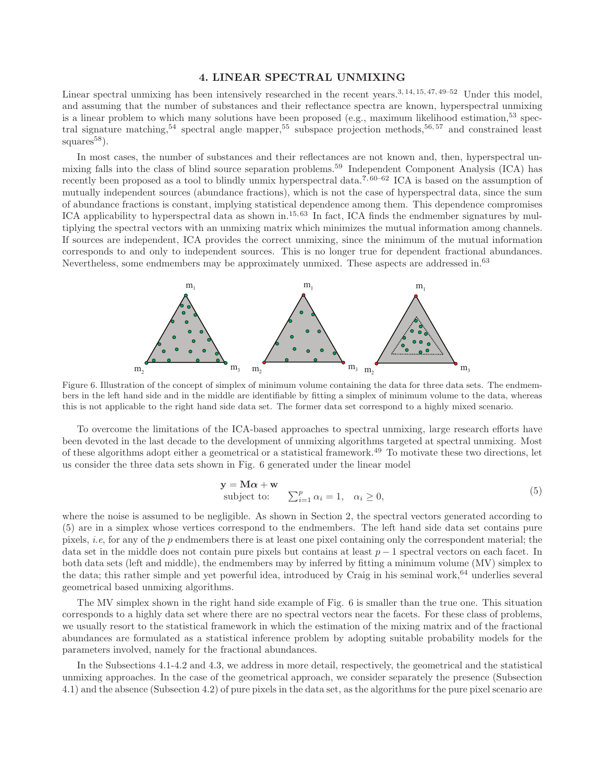## 4. LINEAR SPECTRAL UNMIXING

Linear spectral unmixing has been intensively researched in the recent years.<sup>3, 14, 15, 47, 49–52</sup> Under this model, and assuming that the number of substances and their reflectance spectra are known, hyperspectral unmixing is a linear problem to which many solutions have been proposed (e.g., maximum likelihood estimation, $53$  spectral signature matching,<sup>54</sup> spectral angle mapper,<sup>55</sup> subspace projection methods,<sup>56,57</sup> and constrained least squares $^{58}$ ).

In most cases, the number of substances and their reflectances are not known and, then, hyperspectral unmixing falls into the class of blind source separation problems.<sup>59</sup> Independent Component Analysis (ICA) has recently been proposed as a tool to blindly unmix hyperspectral data.<sup>7,60–62</sup> ICA is based on the assumption of mutually independent sources (abundance fractions), which is not the case of hyperspectral data, since the sum of abundance fractions is constant, implying statistical dependence among them. This dependence compromises ICA applicability to hyperspectral data as shown in.<sup>15, 63</sup> In fact, ICA finds the endmember signatures by multiplying the spectral vectors with an unmixing matrix which minimizes the mutual information among channels. If sources are independent, ICA provides the correct unmixing, since the minimum of the mutual information corresponds to and only to independent sources. This is no longer true for dependent fractional abundances. Nevertheless, some endmembers may be approximately unmixed. These aspects are addressed in.<sup>63</sup>



Figure 6. Illustration of the concept of simplex of minimum volume containing the data for three data sets. The endmembers in the left hand side and in the middle are identifiable by fitting a simplex of minimum volume to the data, whereas this is not applicable to the right hand side data set. The former data set correspond to a highly mixed scenario.

To overcome the limitations of the ICA-based approaches to spectral unmixing, large research efforts have been devoted in the last decade to the development of unmixing algorithms targeted at spectral unmixing. Most of these algorithms adopt either a geometrical or a statistical framework.<sup>49</sup> To motivate these two directions, let us consider the three data sets shown in Fig. 6 generated under the linear model

$$
\mathbf{y} = \mathbf{M}\boldsymbol{\alpha} + \mathbf{w}
$$
  
subject to: 
$$
\sum_{i=1}^{p} \alpha_i = 1, \quad \alpha_i \ge 0,
$$
 (5)

where the noise is assumed to be negligible. As shown in Section 2, the spectral vectors generated according to (5) are in a simplex whose vertices correspond to the endmembers. The left hand side data set contains pure pixels, *i.e.* for any of the p endmembers there is at least one pixel containing only the correspondent material; the data set in the middle does not contain pure pixels but contains at least  $p-1$  spectral vectors on each facet. In both data sets (left and middle), the endmembers may by inferred by fitting a minimum volume (MV) simplex to the data; this rather simple and yet powerful idea, introduced by Craig in his seminal work,<sup>64</sup> underlies several geometrical based unmixing algorithms.

The MV simplex shown in the right hand side example of Fig. 6 is smaller than the true one. This situation corresponds to a highly data set where there are no spectral vectors near the facets. For these class of problems, we usually resort to the statistical framework in which the estimation of the mixing matrix and of the fractional abundances are formulated as a statistical inference problem by adopting suitable probability models for the parameters involved, namely for the fractional abundances.

In the Subsections 4.1-4.2 and 4.3, we address in more detail, respectively, the geometrical and the statistical unmixing approaches. In the case of the geometrical approach, we consider separately the presence (Subsection 4.1) and the absence (Subsection 4.2) of pure pixels in the data set, as the algorithms for the pure pixel scenario are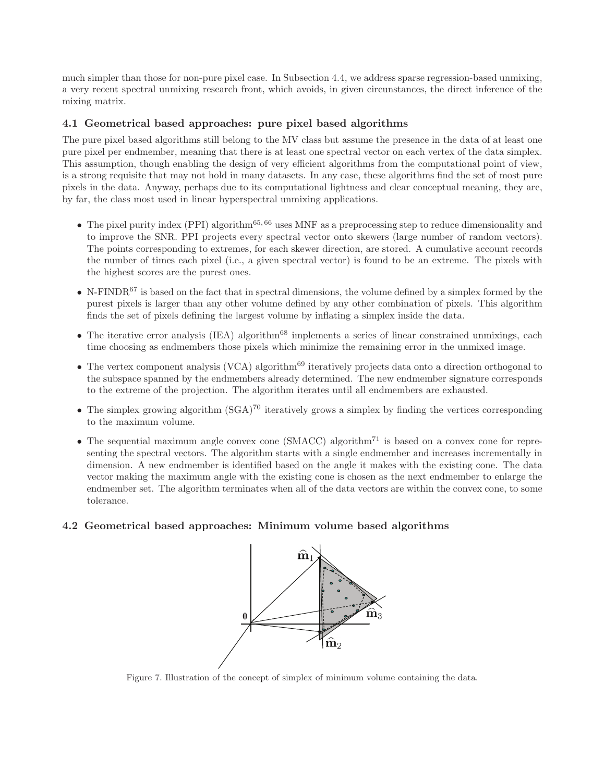much simpler than those for non-pure pixel case. In Subsection 4.4, we address sparse regression-based unmixing, a very recent spectral unmixing research front, which avoids, in given circunstances, the direct inference of the mixing matrix.

# 4.1 Geometrical based approaches: pure pixel based algorithms

The pure pixel based algorithms still belong to the MV class but assume the presence in the data of at least one pure pixel per endmember, meaning that there is at least one spectral vector on each vertex of the data simplex. This assumption, though enabling the design of very efficient algorithms from the computational point of view, is a strong requisite that may not hold in many datasets. In any case, these algorithms find the set of most pure pixels in the data. Anyway, perhaps due to its computational lightness and clear conceptual meaning, they are, by far, the class most used in linear hyperspectral unmixing applications.

- The pixel purity index (PPI) algorithm<sup>65, 66</sup> uses MNF as a preprocessing step to reduce dimensionality and to improve the SNR. PPI projects every spectral vector onto skewers (large number of random vectors). The points corresponding to extremes, for each skewer direction, are stored. A cumulative account records the number of times each pixel (i.e., a given spectral vector) is found to be an extreme. The pixels with the highest scores are the purest ones.
- N-FINDR<sup>67</sup> is based on the fact that in spectral dimensions, the volume defined by a simplex formed by the purest pixels is larger than any other volume defined by any other combination of pixels. This algorithm finds the set of pixels defining the largest volume by inflating a simplex inside the data.
- The iterative error analysis  $(IEA)$  algorithm<sup>68</sup> implements a series of linear constrained unmixings, each time choosing as endmembers those pixels which minimize the remaining error in the unmixed image.
- The vertex component analysis (VCA) algorithm<sup>69</sup> iteratively projects data onto a direction orthogonal to the subspace spanned by the endmembers already determined. The new endmember signature corresponds to the extreme of the projection. The algorithm iterates until all endmembers are exhausted.
- The simplex growing algorithm  $(SGA)^{70}$  iteratively grows a simplex by finding the vertices corresponding to the maximum volume.
- The sequential maximum angle convex cone (SMACC) algorithm<sup>71</sup> is based on a convex cone for representing the spectral vectors. The algorithm starts with a single endmember and increases incrementally in dimension. A new endmember is identified based on the angle it makes with the existing cone. The data vector making the maximum angle with the existing cone is chosen as the next endmember to enlarge the endmember set. The algorithm terminates when all of the data vectors are within the convex cone, to some tolerance.

# 4.2 Geometrical based approaches: Minimum volume based algorithms



Figure 7. Illustration of the concept of simplex of minimum volume containing the data.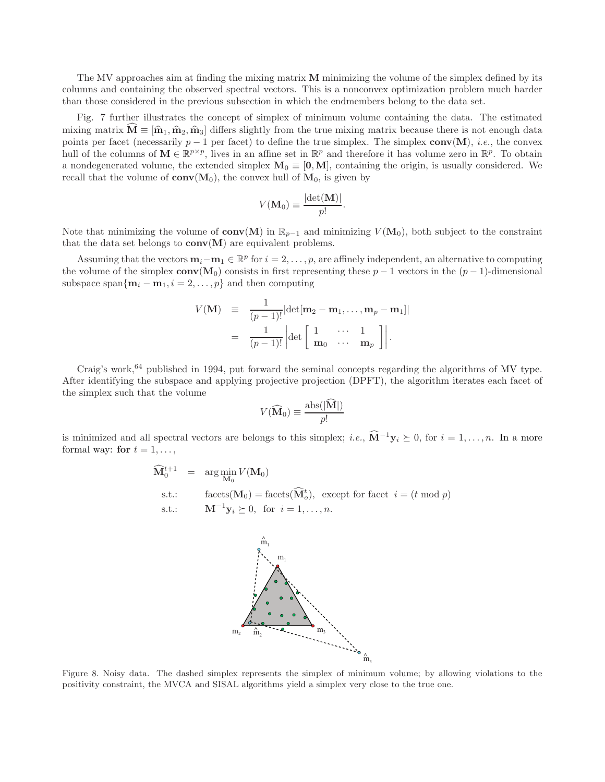The MV approaches aim at finding the mixing matrix  $\bf{M}$  minimizing the volume of the simplex defined by its columns and containing the observed spectral vectors. This is a nonconvex optimization problem much harder than those considered in the previous subsection in which the endmembers belong to the data set.

Fig. 7 further illustrates the concept of simplex of minimum volume containing the data. The estimated mixing matrix  $\hat{\mathbf{M}} \equiv [\hat{\mathbf{m}}_1, \hat{\mathbf{m}}_2, \hat{\mathbf{m}}_3]$  differs slightly from the true mixing matrix because there is not enough data points per facet (necessarily  $p-1$  per facet) to define the true simplex. The simplex  $conv(M)$ , *i.e.*, the convex hull of the columns of  $\mathbf{M} \in \mathbb{R}^{p \times p}$ , lives in an affine set in  $\mathbb{R}^p$  and therefore it has volume zero in  $\mathbb{R}^p$ . To obtain a nondegenerated volume, the extended simplex  $M_0 \equiv [0, M]$ , containing the origin, is usually considered. We recall that the volume of  $conv(M_0)$ , the convex hull of  $M_0$ , is given by

$$
V(\mathbf{M}_0) \equiv \frac{|\det(\mathbf{M})|}{p!}.
$$

Note that minimizing the volume of **conv**(M) in  $\mathbb{R}_{p-1}$  and minimizing  $V(\mathbf{M}_0)$ , both subject to the constraint that the data set belongs to  $conv(M)$  are equivalent problems.

Assuming that the vectors  $\mathbf{m}_i-\mathbf{m}_1 \in \mathbb{R}^p$  for  $i = 2, \ldots, p$ , are affinely independent, an alternative to computing the volume of the simplex  $conv(M_0)$  consists in first representing these  $p-1$  vectors in the  $(p-1)$ -dimensional subspace span $\{\mathbf{m}_i - \mathbf{m}_1, i = 2, \ldots, p\}$  and then computing

$$
V(\mathbf{M}) = \frac{1}{(p-1)!} |\det[\mathbf{m}_2 - \mathbf{m}_1, \dots, \mathbf{m}_p - \mathbf{m}_1]|
$$
  
=  $\frac{1}{(p-1)!} |\det \begin{bmatrix} 1 & \cdots & 1 \\ \mathbf{m}_0 & \cdots & \mathbf{m}_p \end{bmatrix}|.$ 

Craig's work,<sup>64</sup> published in 1994, put forward the seminal concepts regarding the algorithms of MV type. After identifying the subspace and applying projective projection (DPFT), the algorithm iterates each facet of the simplex such that the volume

$$
V(\widehat{\mathbf{M}}_0) \equiv \frac{\mathrm{abs}(|\widehat{\mathbf{M}}|)}{p!}
$$

is minimized and all spectral vectors are belongs to this simplex; *i.e.*,  $\widehat{\mathbf{M}}^{-1}\mathbf{y}_i \succeq 0$ , for  $i = 1, \ldots, n$ . In a more formal way: for  $t = 1, \ldots$ ,

$$
\begin{aligned}\n\widehat{\mathbf{M}}_0^{t+1} &= \arg \min_{\mathbf{M}_0} V(\mathbf{M}_0) \\
\text{s.t.:} \qquad & \text{faces}(\mathbf{M}_0) = \text{faces}(\widehat{\mathbf{M}}_o^t), \text{ except for facet } i = (t \bmod p) \\
\text{s.t.:} \qquad & \mathbf{M}^{-1} \mathbf{y}_i \succeq 0, \text{ for } i = 1, \dots, n.\n\end{aligned}
$$



Figure 8. Noisy data. The dashed simplex represents the simplex of minimum volume; by allowing violations to the positivity constraint, the MVCA and SISAL algorithms yield a simplex very close to the true one.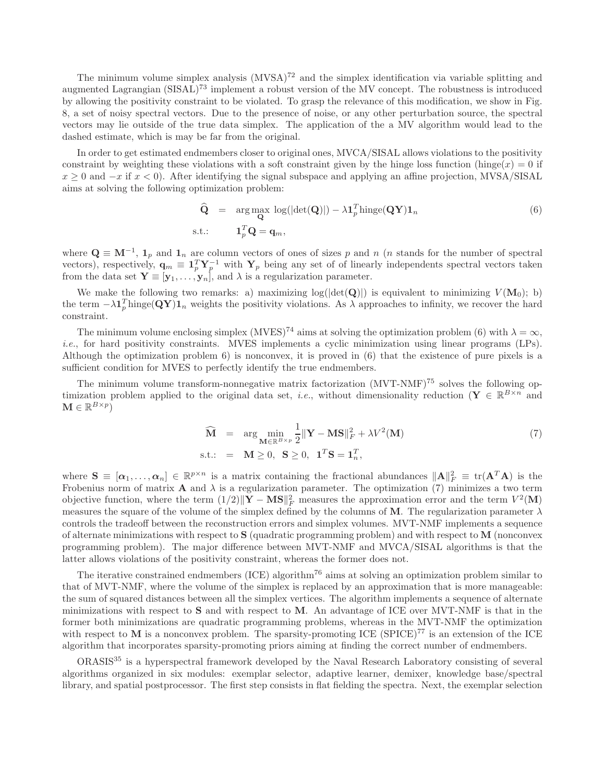The minimum volume simplex analysis  $(MVSA)^{72}$  and the simplex identification via variable splitting and augmented Lagrangian (SISAL)<sup>73</sup> implement a robust version of the MV concept. The robustness is introduced by allowing the positivity constraint to be violated. To grasp the relevance of this modification, we show in Fig. 8, a set of noisy spectral vectors. Due to the presence of noise, or any other perturbation source, the spectral vectors may lie outside of the true data simplex. The application of the a MV algorithm would lead to the dashed estimate, which is may be far from the original.

In order to get estimated endmembers closer to original ones, MVCA/SISAL allows violations to the positivity constraint by weighting these violations with a soft constraint given by the hinge loss function (hinge(x) = 0 if  $x \geq 0$  and  $-x$  if  $x < 0$ ). After identifying the signal subspace and applying an affine projection, MVSA/SISAL aims at solving the following optimization problem:

$$
\widehat{\mathbf{Q}} = \underset{\mathbf{S}}{\arg \max} \log(|\det(\mathbf{Q})|) - \lambda \mathbf{1}_p^T \text{hinge}(\mathbf{QY}) \mathbf{1}_n
$$
\ns.t.:  
\n
$$
\mathbf{1}_p^T \mathbf{Q} = \mathbf{q}_m,
$$
\n(6)

where  $\mathbf{Q} \equiv \mathbf{M}^{-1}$ ,  $\mathbf{1}_p$  and  $\mathbf{1}_n$  are column vectors of ones of sizes p and n (n stands for the number of spectral vectors), respectively,  $\mathbf{q}_m \equiv \mathbf{1}_p^T \mathbf{Y}_p^{-1}$  with  $\mathbf{Y}_p$  being any set of of linearly independents spectral vectors taken from the data set  $\mathbf{Y} \equiv [\mathbf{y}_1, \dots, \mathbf{y}_n]$ , and  $\lambda$  is a regularization parameter.

We make the following two remarks: a) maximizing  $log(|det(Q)|)$  is equivalent to minimizing  $V(M_0)$ ; b) the term  $-\lambda \mathbf{1}_p^T \text{hinge}(\mathbf{QY}) \mathbf{1}_n$  weights the positivity violations. As  $\lambda$  approaches to infinity, we recover the hard constraint.

The minimum volume enclosing simplex  $(MVES)^{74}$  aims at solving the optimization problem (6) with  $\lambda = \infty$ , i.e., for hard positivity constraints. MVES implements a cyclic minimization using linear programs (LPs). Although the optimization problem 6) is nonconvex, it is proved in (6) that the existence of pure pixels is a sufficient condition for MVES to perfectly identify the true endmembers.

The minimum volume transform-nonnegative matrix factorization  $(MVT-NMF)^{75}$  solves the following optimization problem applied to the original data set, *i.e.*, without dimensionality reduction ( $Y \in \mathbb{R}^{B \times n}$  and  $\mathbf{M} \in \mathbb{R}^{B \times p}$ 

$$
\widehat{\mathbf{M}} = \arg \min_{\mathbf{M} \in \mathbb{R}^{B \times p}} \frac{1}{2} ||\mathbf{Y} - \mathbf{M} \mathbf{S}||_F^2 + \lambda V^2(\mathbf{M})
$$
\ns.t.: 
$$
= \mathbf{M} \ge 0, \ \mathbf{S} \ge 0, \ \mathbf{1}^T \mathbf{S} = \mathbf{1}_n^T,
$$
\n(7)

where  $S \equiv [\alpha_1, \ldots, \alpha_n] \in \mathbb{R}^{p \times n}$  is a matrix containing the fractional abundances  $\|\mathbf{A}\|_F^2 \equiv \text{tr}(\mathbf{A}^T \mathbf{A})$  is the Frobenius norm of matrix **A** and  $\lambda$  is a regularization parameter. The optimization (7) minimizes a two term objective function, where the term  $(1/2) \|\mathbf{Y} - \mathbf{MS}\|_F^2$  measures the approximation error and the term  $V^2(\mathbf{M})$ measures the square of the volume of the simplex defined by the columns of M. The regularization parameter  $\lambda$ controls the tradeoff between the reconstruction errors and simplex volumes. MVT-NMF implements a sequence of alternate minimizations with respect to  $S$  (quadratic programming problem) and with respect to  $M$  (nonconvex programming problem). The major difference between MVT-NMF and MVCA/SISAL algorithms is that the latter allows violations of the positivity constraint, whereas the former does not.

The iterative constrained endmembers (ICE) algorithm<sup>76</sup> aims at solving an optimization problem similar to that of MVT-NMF, where the volume of the simplex is replaced by an approximation that is more manageable: the sum of squared distances between all the simplex vertices. The algorithm implements a sequence of alternate minimizations with respect to  $S$  and with respect to  $M$ . An advantage of ICE over MVT-NMF is that in the former both minimizations are quadratic programming problems, whereas in the MVT-NMF the optimization with respect to M is a nonconvex problem. The sparsity-promoting ICE  $(SPICE)^{77}$  is an extension of the ICE algorithm that incorporates sparsity-promoting priors aiming at finding the correct number of endmembers.

ORASIS<sup>35</sup> is a hyperspectral framework developed by the Naval Research Laboratory consisting of several algorithms organized in six modules: exemplar selector, adaptive learner, demixer, knowledge base/spectral library, and spatial postprocessor. The first step consists in flat fielding the spectra. Next, the exemplar selection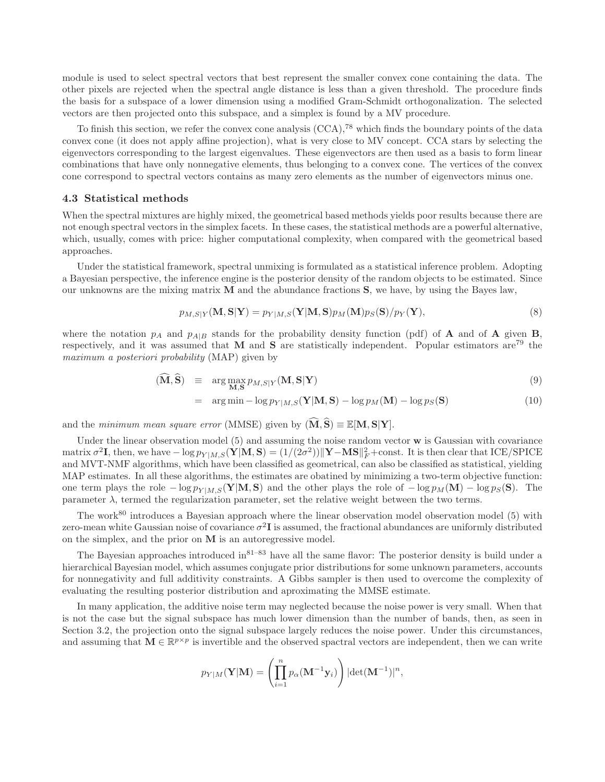module is used to select spectral vectors that best represent the smaller convex cone containing the data. The other pixels are rejected when the spectral angle distance is less than a given threshold. The procedure finds the basis for a subspace of a lower dimension using a modified Gram-Schmidt orthogonalization. The selected vectors are then projected onto this subspace, and a simplex is found by a MV procedure.

To finish this section, we refer the convex cone analysis (CCA),<sup>78</sup> which finds the boundary points of the data convex cone (it does not apply affine projection), what is very close to MV concept. CCA stars by selecting the eigenvectors corresponding to the largest eigenvalues. These eigenvectors are then used as a basis to form linear combinations that have only nonnegative elements, thus belonging to a convex cone. The vertices of the convex cone correspond to spectral vectors contains as many zero elements as the number of eigenvectors minus one.

### 4.3 Statistical methods

When the spectral mixtures are highly mixed, the geometrical based methods yields poor results because there are not enough spectral vectors in the simplex facets. In these cases, the statistical methods are a powerful alternative, which, usually, comes with price: higher computational complexity, when compared with the geometrical based approaches.

Under the statistical framework, spectral unmixing is formulated as a statistical inference problem. Adopting a Bayesian perspective, the inference engine is the posterior density of the random objects to be estimated. Since our unknowns are the mixing matrix  $M$  and the abundance fractions  $S$ , we have, by using the Bayes law,

$$
p_{M,S|Y}(\mathbf{M}, \mathbf{S}|\mathbf{Y}) = p_{Y|M,S}(\mathbf{Y}|\mathbf{M}, \mathbf{S})p_M(\mathbf{M})p_S(\mathbf{S})/p_Y(\mathbf{Y}),
$$
\n(8)

where the notation  $p_A$  and  $p_{A|B}$  stands for the probability density function (pdf) of **A** and of **A** given **B**, respectively, and it was assumed that  $M$  and  $S$  are statistically independent. Popular estimators are<sup>79</sup> the maximum a posteriori probability (MAP) given by

$$
(\widehat{\mathbf{M}}, \widehat{\mathbf{S}}) \equiv \arg \max_{\mathbf{M}, \mathbf{S}} p_{M, S|Y}(\mathbf{M}, \mathbf{S}|\mathbf{Y}) \tag{9}
$$

$$
= \arg\min -\log p_{Y|M,S}(\mathbf{Y}|\mathbf{M}, \mathbf{S}) - \log p_M(\mathbf{M}) - \log p_S(\mathbf{S}) \tag{10}
$$

and the *minimum mean square error* (MMSE) given by  $(\widehat{M}, \widehat{S}) \equiv \mathbb{E}[M, S|Y].$ 

Under the linear observation model (5) and assuming the noise random vector **w** is Gaussian with covariance matrix  $\sigma^2$ **I**, then, we have  $-\log p_{Y|M,S}(\mathbf{Y}|\mathbf{M}, \mathbf{S}) = (1/(2\sigma^2))\|\mathbf{Y}-\mathbf{MS}\|_F^2 + \text{const.}$  It is then clear that ICE/SPICE and MVT-NMF algorithms, which have been classified as geometrical, can also be classified as statistical, yielding MAP estimates. In all these algorithms, the estimates are obatined by minimizing a two-term objective function: one term plays the role  $-\log p_{Y|M,S}(\mathbf{Y}|M,\mathbf{S})$  and the other plays the role of  $-\log p_M(M) - \log p_S(\mathbf{S})$ . The parameter  $\lambda$ , termed the regularization parameter, set the relative weight between the two terms.

The work<sup>80</sup> introduces a Bayesian approach where the linear observation model observation model (5) with zero-mean white Gaussian noise of covariance  $\sigma^2 I$  is assumed, the fractional abundances are uniformly distributed on the simplex, and the prior on M is an autoregressive model.

The Bayesian approaches introduced in<sup>81–83</sup> have all the same flavor: The posterior density is build under a hierarchical Bayesian model, which assumes conjugate prior distributions for some unknown parameters, accounts for nonnegativity and full additivity constraints. A Gibbs sampler is then used to overcome the complexity of evaluating the resulting posterior distribution and aproximating the MMSE estimate.

In many application, the additive noise term may neglected because the noise power is very small. When that is not the case but the signal subspace has much lower dimension than the number of bands, then, as seen in Section 3.2, the projection onto the signal subspace largely reduces the noise power. Under this circumstances, and assuming that  $\mathbf{M} \in \mathbb{R}^{p \times p}$  is invertible and the observed spactral vectors are independent, then we can write

$$
p_{Y|M}(\mathbf{Y}|\mathbf{M}) = \left(\prod_{i=1}^n p_{\alpha}(\mathbf{M}^{-1}\mathbf{y}_i)\right) |\det(\mathbf{M}^{-1})|^n,
$$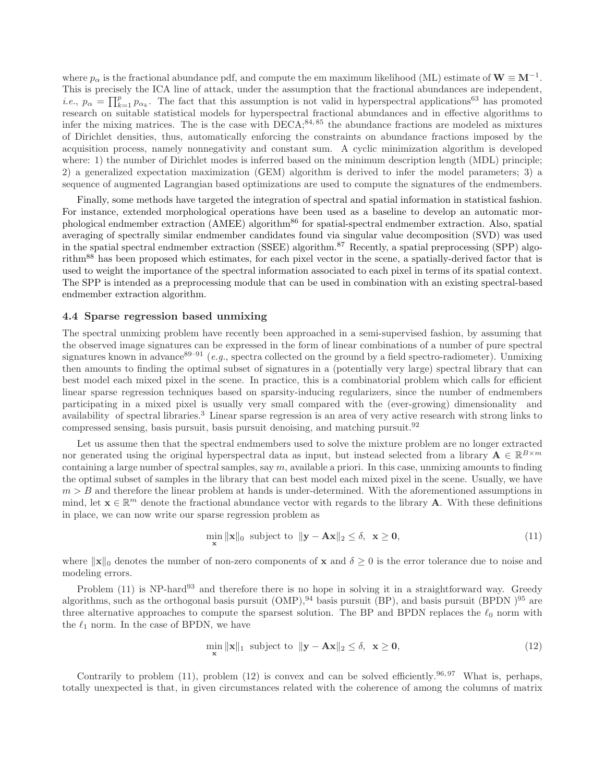where  $p_{\alpha}$  is the fractional abundance pdf, and compute the em maximum likelihood (ML) estimate of  $\mathbf{W} \equiv \mathbf{M}^{-1}$ . This is precisely the ICA line of attack, under the assumption that the fractional abundances are independent, *i.e.*,  $p_{\alpha} = \prod_{k=1}^{p} p_{\alpha_k}$ . The fact that this assumption is not valid in hyperspectral applications<sup>63</sup> has promoted research on suitable statistical models for hyperspectral fractional abundances and in effective algorithms to infer the mixing matrices. The is the case with  $DECA$ <sup>84,85</sup> the abundance fractions are modeled as mixtures of Dirichlet densities, thus, automatically enforcing the constraints on abundance fractions imposed by the acquisition process, namely nonnegativity and constant sum. A cyclic minimization algorithm is developed where: 1) the number of Dirichlet modes is inferred based on the minimum description length (MDL) principle; 2) a generalized expectation maximization (GEM) algorithm is derived to infer the model parameters; 3) a sequence of augmented Lagrangian based optimizations are used to compute the signatures of the endmembers.

Finally, some methods have targeted the integration of spectral and spatial information in statistical fashion. For instance, extended morphological operations have been used as a baseline to develop an automatic morphological endmember extraction (AMEE) algorithm<sup>86</sup> for spatial-spectral endmember extraction. Also, spatial averaging of spectrally similar endmember candidates found via singular value decomposition (SVD) was used in the spatial spectral endmember extraction (SSEE) algorithm.<sup>87</sup> Recently, a spatial preprocessing (SPP) algorithm<sup>88</sup> has been proposed which estimates, for each pixel vector in the scene, a spatially-derived factor that is used to weight the importance of the spectral information associated to each pixel in terms of its spatial context. The SPP is intended as a preprocessing module that can be used in combination with an existing spectral-based endmember extraction algorithm.

### 4.4 Sparse regression based unmixing

The spectral unmixing problem have recently been approached in a semi-supervised fashion, by assuming that the observed image signatures can be expressed in the form of linear combinations of a number of pure spectral signatures known in advance<sup>89–91</sup> (e.g., spectra collected on the ground by a field spectro-radiometer). Unmixing then amounts to finding the optimal subset of signatures in a (potentially very large) spectral library that can best model each mixed pixel in the scene. In practice, this is a combinatorial problem which calls for efficient linear sparse regression techniques based on sparsity-inducing regularizers, since the number of endmembers participating in a mixed pixel is usually very small compared with the (ever-growing) dimensionality and availability of spectral libraries.<sup>3</sup> Linear sparse regression is an area of very active research with strong links to compressed sensing, basis pursuit, basis pursuit denoising, and matching pursuit.<sup>92</sup>

Let us assume then that the spectral endmembers used to solve the mixture problem are no longer extracted nor generated using the original hyperspectral data as input, but instead selected from a library  $\mathbf{A} \in \mathbb{R}^{B \times m}$ containing a large number of spectral samples, say  $m$ , available a priori. In this case, unmixing amounts to finding the optimal subset of samples in the library that can best model each mixed pixel in the scene. Usually, we have  $m > B$  and therefore the linear problem at hands is under-determined. With the aforementioned assumptions in mind, let  $\mathbf{x} \in \mathbb{R}^m$  denote the fractional abundance vector with regards to the library **A**. With these definitions in place, we can now write our sparse regression problem as

$$
\min_{\mathbf{x}} \|\mathbf{x}\|_0 \text{ subject to } \|\mathbf{y} - \mathbf{A}\mathbf{x}\|_2 \le \delta, \ \mathbf{x} \ge \mathbf{0},\tag{11}
$$

where  $\|\mathbf{x}\|_0$  denotes the number of non-zero components of x and  $\delta \geq 0$  is the error tolerance due to noise and modeling errors.

Problem  $(11)$  is NP-hard<sup>93</sup> and therefore there is no hope in solving it in a straightforward way. Greedy algorithms, such as the orthogonal basis pursuit  $(OMP)$ , <sup>94</sup> basis pursuit (BP), and basis pursuit (BPDN)<sup>95</sup> are three alternative approaches to compute the sparsest solution. The BP and BPDN replaces the  $\ell_0$  norm with the  $\ell_1$  norm. In the case of BPDN, we have

$$
\min_{\mathbf{x}} \|\mathbf{x}\|_1 \text{ subject to } \|\mathbf{y} - \mathbf{A}\mathbf{x}\|_2 \le \delta, \ \mathbf{x} \ge \mathbf{0},\tag{12}
$$

Contrarily to problem (11), problem (12) is convex and can be solved efficiently.<sup>96, 97</sup> What is, perhaps, totally unexpected is that, in given circumstances related with the coherence of among the columns of matrix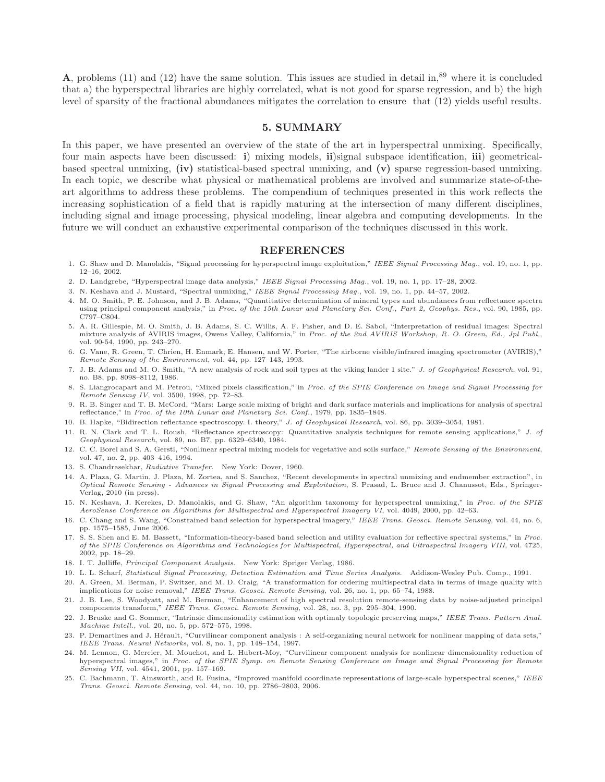**A**, problems (11) and (12) have the same solution. This issues are studied in detail in,<sup>89</sup> where it is concluded that a) the hyperspectral libraries are highly correlated, what is not good for sparse regression, and b) the high level of sparsity of the fractional abundances mitigates the correlation to ensure that (12) yields useful results.

## 5. SUMMARY

In this paper, we have presented an overview of the state of the art in hyperspectral unmixing. Specifically, four main aspects have been discussed: i) mixing models, ii)signal subspace identification, iii) geometricalbased spectral unmixing, (iv) statistical-based spectral unmixing, and (v) sparse regression-based unmixing. In each topic, we describe what physical or mathematical problems are involved and summarize state-of-theart algorithms to address these problems. The compendium of techniques presented in this work reflects the increasing sophistication of a field that is rapidly maturing at the intersection of many different disciplines, including signal and image processing, physical modeling, linear algebra and computing developments. In the future we will conduct an exhaustive experimental comparison of the techniques discussed in this work.

# REFERENCES

- 1. G. Shaw and D. Manolakis, "Signal processing for hyperspectral image exploitation," *IEEE Signal Processing Mag.*, vol. 19, no. 1, pp. 12–16, 2002.
- 2. D. Landgrebe, "Hyperspectral image data analysis," *IEEE Signal Processing Mag.*, vol. 19, no. 1, pp. 17–28, 2002.
- 3. N. Keshava and J. Mustard, "Spectral unmixing," *IEEE Signal Processing Mag.*, vol. 19, no. 1, pp. 44–57, 2002.
- 4. M. O. Smith, P. E. Johnson, and J. B. Adams, "Quantitative determination of mineral types and abundances from reflectance spectra using principal component analysis," in *Proc. of the 15th Lunar and Planetary Sci. Conf., Part 2, Geophys. Res.*, vol. 90, 1985, pp. C797–C804.
- 5. A. R. Gillespie, M. O. Smith, J. B. Adams, S. C. Willis, A. F. Fisher, and D. E. Sabol, "Interpretation of residual images: Spectral mixture analysis of AVIRIS images, Owens Valley, California," in *Proc. of the 2nd AVIRIS Workshop, R. O. Green, Ed., Jpl Publ.*, vol. 90-54, 1990, pp. 243–270.
- 6. G. Vane, R. Green, T. Chrien, H. Enmark, E. Hansen, and W. Porter, "The airborne visible/infrared imaging spectrometer (AVIRIS)," *Remote Sensing of the Environment*, vol. 44, pp. 127–143, 1993.
- 7. J. B. Adams and M. O. Smith, "A new analysis of rock and soil types at the viking lander 1 site." *J. of Geophysical Research*, vol. 91, no. B8, pp. 8098–8112, 1986.
- 8. S. Liangrocapart and M. Petrou, "Mixed pixels classification," in *Proc. of the SPIE Conference on Image and Signal Processing for Remote Sensing IV*, vol. 3500, 1998, pp. 72–83.
- 9. R. B. Singer and T. B. McCord, "Mars: Large scale mixing of bright and dark surface materials and implications for analysis of spectral reflectance," in *Proc. of the 10th Lunar and Planetary Sci. Conf.*, 1979, pp. 1835–1848.
- 10. B. Hapke, "Bidirection reflectance spectroscopy. I. theory," *J. of Geophysical Research*, vol. 86, pp. 3039–3054, 1981.
- 11. R. N. Clark and T. L. Roush, "Reflectance spectroscopy: Quantitative analysis techniques for remote sensing applications," *J. of Geophysical Research*, vol. 89, no. B7, pp. 6329–6340, 1984.
- 12. C. C. Borel and S. A. Gerstl, "Nonlinear spectral mixing models for vegetative and soils surface," *Remote Sensing of the Environment*, vol. 47, no. 2, pp. 403–416, 1994.
- 13. S. Chandrasekhar, *Radiative Transfer*. New York: Dover, 1960.
- 14. A. Plaza, G. Martin, J. Plaza, M. Zortea, and S. Sanchez, "Recent developments in spectral unmixing and endmember extraction", in *Optical Remote Sensing - Advances in Signal Processing and Exploitation*, S. Prasad, L. Bruce and J. Chanussot, Eds., Springer-Verlag, 2010 (in press).
- 15. N. Keshava, J. Kerekes, D. Manolakis, and G. Shaw, "An algorithm taxonomy for hyperspectral unmixing," in *Proc. of the SPIE AeroSense Conference on Algorithms for Multispectral and Hyperspectral Imagery VI*, vol. 4049, 2000, pp. 42–63.
- 16. C. Chang and S. Wang, "Constrained band selection for hyperspectral imagery," *IEEE Trans. Geosci. Remote Sensing*, vol. 44, no. 6, pp. 1575–1585, June 2006.
- 17. S. S. Shen and E. M. Bassett, "Information-theory-based band selection and utility evaluation for reflective spectral systems," in *Proc. of the SPIE Conference on Algorithms and Technologies for Multispectral, Hyperspectral, and Ultraspectral Imagery VIII*, vol. 4725, 2002, pp. 18–29.
- 18. I. T. Jolliffe, *Principal Component Analysis*. New York: Spriger Verlag, 1986.
- 19. L. L. Scharf, *Statistical Signal Processing, Detection Estimation and Time Series Analysis*. Addison-Wesley Pub. Comp., 1991.
- 20. A. Green, M. Berman, P. Switzer, and M. D. Craig, "A transformation for ordering multispectral data in terms of image quality with implications for noise removal," *IEEE Trans. Geosci. Remote Sensing*, vol. 26, no. 1, pp. 65–74, 1988.
- 21. J. B. Lee, S. Woodyatt, and M. Berman, "Enhancement of high spectral resolution remote-sensing data by noise-adjusted principal components transform," IEEE Trans. Geosci. Remote Sensing, vol. 28, no. 3, pp. 295–304, 19
- 22. J. Bruske and G. Sommer, "Intrinsic dimensionality estimation with optimaly topologic preserving maps," *IEEE Trans. Pattern Anal. Machine Intell.*, vol. 20, no. 5, pp. 572–575, 1998.
- 23. P. Demartines and J. Hérault, "Curvilinear component analysis : A self-organizing neural network for nonlinear mapping of data sets," *IEEE Trans. Neural Networks*, vol. 8, no. 1, pp. 148–154, 1997.
- 24. M. Lennon, G. Mercier, M. Mouchot, and L. Hubert-Moy, "Curvilinear component analysis for nonlinear dimensionality reduction of hyperspectral images," in *Proc. of the SPIE Symp. on Remote Sensing Conference on Image and Signal Processing for Remote Sensing VII*, vol. 4541, 2001, pp. 157–169.
- 25. C. Bachmann, T. Ainsworth, and R. Fusina, "Improved manifold coordinate representations of large-scale hyperspectral scenes," *IEEE Trans. Geosci. Remote Sensing*, vol. 44, no. 10, pp. 2786–2803, 2006.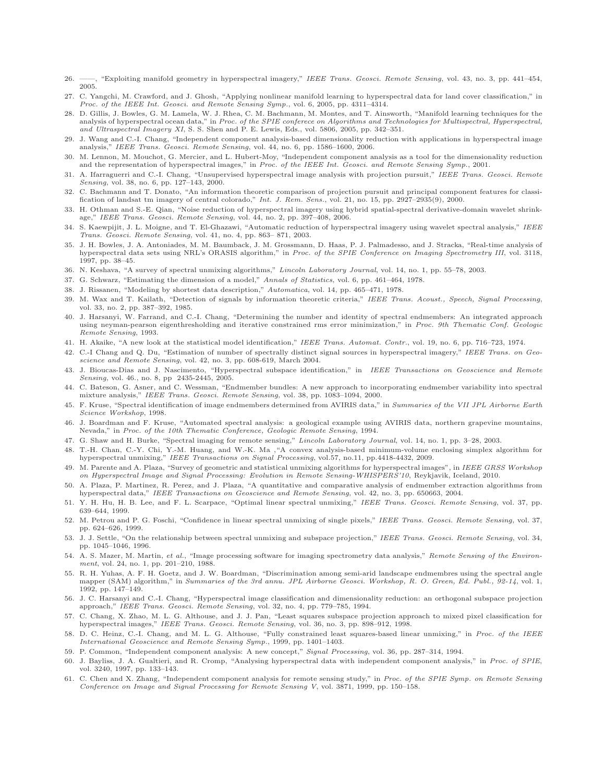- 26. ——, "Exploiting manifold geometry in hyperspectral imagery," *IEEE Trans. Geosci. Remote Sensing*, vol. 43, no. 3, pp. 441–454, 2005.
- 27. C. Yangchi, M. Crawford, and J. Ghosh, "Applying nonlinear manifold learning to hyperspectral data for land cover classification," in *Proc. of the IEEE Int. Geosci. and Remote Sensing Symp.*, vol. 6, 2005, pp. 4311–4314.
- 28. D. Gillis, J. Bowles, G. M. Lamela, W. J. Rhea, C. M. Bachmann, M. Montes, and T. Ainsworth, "Manifold learning techniques for the analysis of hyperspectral ocean data," in *Proc. of the SPIE conferece on Algorithms and Technologies for Multispectral, Hyperspectral, and Ultraspectral Imagery XI*, S. S. Shen and P. E. Lewis, Eds., vol. 5806, 2005, pp. 342–351.
- 29. J. Wang and C.-I. Chang, "Independent component analysis-based dimensionality reduction with applications in hyperspectral image analysis," *IEEE Trans. Geosci. Remote Sensing*, vol. 44, no. 6, pp. 1586–1600, 2006.
- 30. M. Lennon, M. Mouchot, G. Mercier, and L. Hubert-Moy, "Independent component analysis as a tool for the dimensionality reduction and the representation of hyperspectral images," in *Proc. of the IEEE Int. Geosci. and Remote Sensing Symp.*, 2001.
- 31. A. Ifarraguerri and C.-I. Chang, "Unsupervised hyperspectral image analysis with projection pursuit," *IEEE Trans. Geosci. Remote Sensing*, vol. 38, no. 6, pp. 127–143, 2000.
- 32. C. Bachmann and T. Donato, "An information theoretic comparison of projection pursuit and principal component features for classification of landsat tm imagery of central colorado," *Int. J. Rem. Sens.*, vol. 21, no. 15, pp. 2927–2935(9), 2000.
- 33. H. Othman and S.-E. Qian, "Noise reduction of hyperspectral imagery using hybrid spatial-spectral derivative-domain wavelet shrinkage," *IEEE Trans. Geosci. Remote Sensing*, vol. 44, no. 2, pp. 397–408, 2006.
- 34. S. Kaewpijit, J. L. Moigne, and T. El-Ghazawi, "Automatic reduction of hyperspectral imagery using wavelet spectral analysis," *IEEE Trans. Geosci. Remote Sensing*, vol. 41, no. 4, pp. 863– 871, 2003.
- 35. J. H. Bowles, J. A. Antoniades, M. M. Baumback, J. M. Grossmann, D. Haas, P. J. Palmadesso, and J. Stracka, "Real-time analysis of hyperspectral data sets using NRL's ORASIS algorithm," in *Proc. of the SPIE Conference on Imaging Spectrometry III*, vol. 3118, 1997, pp. 38–45.
- 36. N. Keshava, "A survey of spectral unmixing algorithms," *Lincoln Laboratory Journal*, vol. 14, no. 1, pp. 55–78, 2003.
- 37. G. Schwarz, "Estimating the dimension of a model," *Annals of Statistics*, vol. 6, pp. 461–464, 1978.
- 38. J. Rissanen, "Modeling by shortest data description," *Automatica*, vol. 14, pp. 465–471, 1978.
- 39. M. Wax and T. Kailath, "Detection of signals by information theoretic criteria," *IEEE Trans. Acoust., Speech, Signal Processing*, vol. 33, no. 2, pp. 387–392, 1985.
- 40. J. Harsanyi, W. Farrand, and C.-I. Chang, "Determining the number and identity of spectral endmembers: An integrated approach using neyman-pearson eigenthresholding and iterative constrained rms error minimization," in *Proc. 9th Thematic Conf. Geologic Remote Sensing*, 1993.
- 41. H. Akaike, "A new look at the statistical model identification," *IEEE Trans. Automat. Contr.*, vol. 19, no. 6, pp. 716–723, 1974.
- 42. C.-I Chang and Q. Du, "Estimation of number of spectrally distinct signal sources in hyperspectral imagery," *IEEE Trans. on Geoscience and Remote Sensing*, vol. 42, no. 3, pp. 608-619, March 2004.
- 43. J. Bioucas-Dias and J. Nascimento, "Hyperspectral subspace identification," in *IEEE Transactions on Geoscience and Remote Sensing*, vol. 46., no. 8, pp 2435-2445, 2005.
- 44. C. Bateson, G. Asner, and C. Wessman, "Endmember bundles: A new approach to incorporating endmember variability into spectral mixture analysis," *IEEE Trans. Geosci. Remote Sensing*, vol. 38, pp. 1083–1094, 2000.
- 45. F. Kruse, "Spectral identification of image endmembers determined from AVIRIS data," in *Summaries of the VII JPL Airborne Earth Science Workshop*, 1998.
- 46. J. Boardman and F. Kruse, "Automated spectral analysis: a geological example using AVIRIS data, northern grapevine mountains, Nevada," in *Proc. of the 10th Thematic Conference, Geologic Remote Sensing*, 1994.
- 47. G. Shaw and H. Burke, "Spectral imaging for remote sensing," *Lincoln Laboratory Journal*, vol. 14, no. 1, pp. 3–28, 2003.
- 48. T.-H. Chan, C.-Y. Chi, Y.-M. Huang, and W.-K. Ma ,"A convex analysis-based minimum-volume enclosing simplex algorithm for hyperspectral unmixing," *IEEE Transactions on Signal Processing*, vol.57, no.11, pp.4418-4432, 2009.
- 49. M. Parente and A. Plaza, "Survey of geometric and statistical unmixing algorithms for hyperspectral images", in *IEEE GRSS Workshop on Hyperspectral Image and Signal Processing: Evolution in Remote Sensing-WHISPERS'10*, Reykjavik, Iceland, 2010.
- 50. A. Plaza, P. Martinez, R. Perez, and J. Plaza, "A quantitative and comparative analysis of endmember extraction algorithms from hyperspectral data," *IEEE Transactions on Geoscience and Remote Sensing*, vol. 42, no. 3, pp. 650663, 2004.
- 51. Y. H. Hu, H. B. Lee, and F. L. Scarpace, "Optimal linear spectral unmixing," *IEEE Trans. Geosci. Remote Sensing*, vol. 37, pp. 639–644, 1999.
- 52. M. Petrou and P. G. Foschi, "Confidence in linear spectral unmixing of single pixels," *IEEE Trans. Geosci. Remote Sensing*, vol. 37, pp. 624–626, 1999.
- 53. J. J. Settle, "On the relationship between spectral unmixing and subspace projection," *IEEE Trans. Geosci. Remote Sensing*, vol. 34, pp. 1045–1046, 1996.
- 54. A. S. Mazer, M. Martin, *et al.*, "Image processing software for imaging spectrometry data analysis," *Remote Sensing of the Environment*, vol. 24, no. 1, pp. 201–210, 1988.
- 55. R. H. Yuhas, A. F. H. Goetz, and J. W. Boardman, "Discrimination among semi-arid landscape endmembres using the spectral angle mapper (SAM) algorithm," in *Summaries of the 3rd annu. JPL Airborne Geosci. Workshop, R. O. Green, Ed. Publ., 92-14*, vol. 1, 1992, pp. 147–149.
- 56. J. C. Harsanyi and C.-I. Chang, "Hyperspectral image classification and dimensionality reduction: an orthogonal subspace projection approach," *IEEE Trans. Geosci. Remote Sensing*, vol. 32, no. 4, pp. 779–785, 1994.
- 57. C. Chang, X. Zhao, M. L. G. Althouse, and J. J. Pan, "Least squares subspace projection approach to mixed pixel classification for hyperspectral images," *IEEE Trans. Geosci. Remote Sensing*, vol. 36, no. 3, pp. 898–912, 1998.
- 58. D. C. Heinz, C.-I. Chang, and M. L. G. Althouse, "Fully constrained least squares-based linear unmixing," in *Proc. of the IEEE International Geoscience and Remote Sensing Symp.*, 1999, pp. 1401–1403.
- 59. P. Common, "Independent component analysis: A new concept," *Signal Processing*, vol. 36, pp. 287–314, 1994.
- 60. J. Bayliss, J. A. Gualtieri, and R. Cromp, "Analysing hyperspectral data with independent component analysis," in *Proc. of SPIE*, vol. 3240, 1997, pp. 133–143.
- 61. C. Chen and X. Zhang, "Independent component analysis for remote sensing study," in *Proc. of the SPIE Symp. on Remote Sensing Conference on Image and Signal Processing for Remote Sensing V*, vol. 3871, 1999, pp. 150–158.